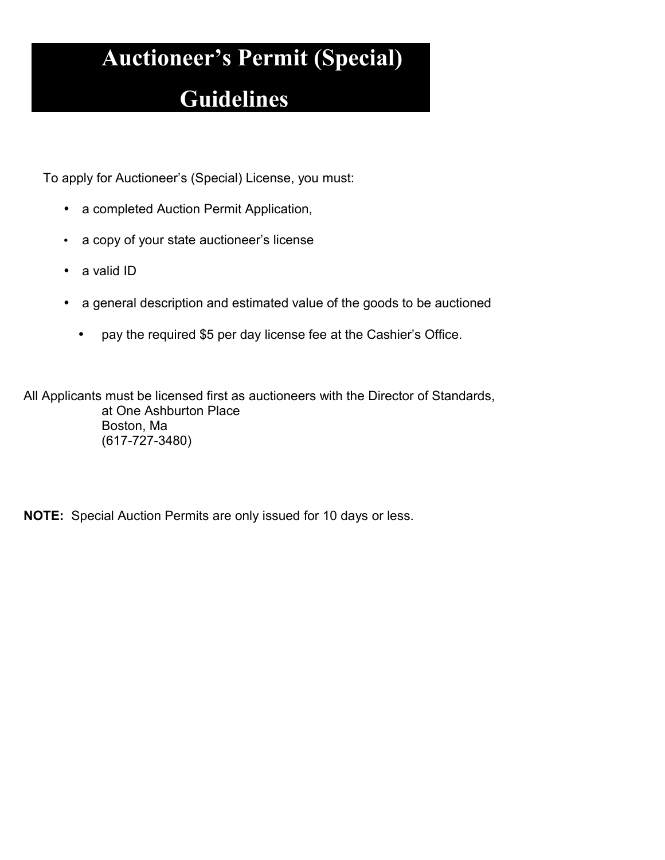## **Auctioneer's Permit (Special)**

### **Guidelines**

To apply for Auctioneer's (Special) License, you must:

- a completed Auction Permit Application,
- a copy of your state auctioneer's license
- a valid ID
- a general description and estimated value of the goods to be auctioned
	- pay the required \$5 per day license fee at the Cashier's Office.

All Applicants must be licensed first as auctioneers with the Director of Standards, at One Ashburton Place Boston, Ma (617-727-3480)

**NOTE:** Special Auction Permits are only issued for 10 days or less.